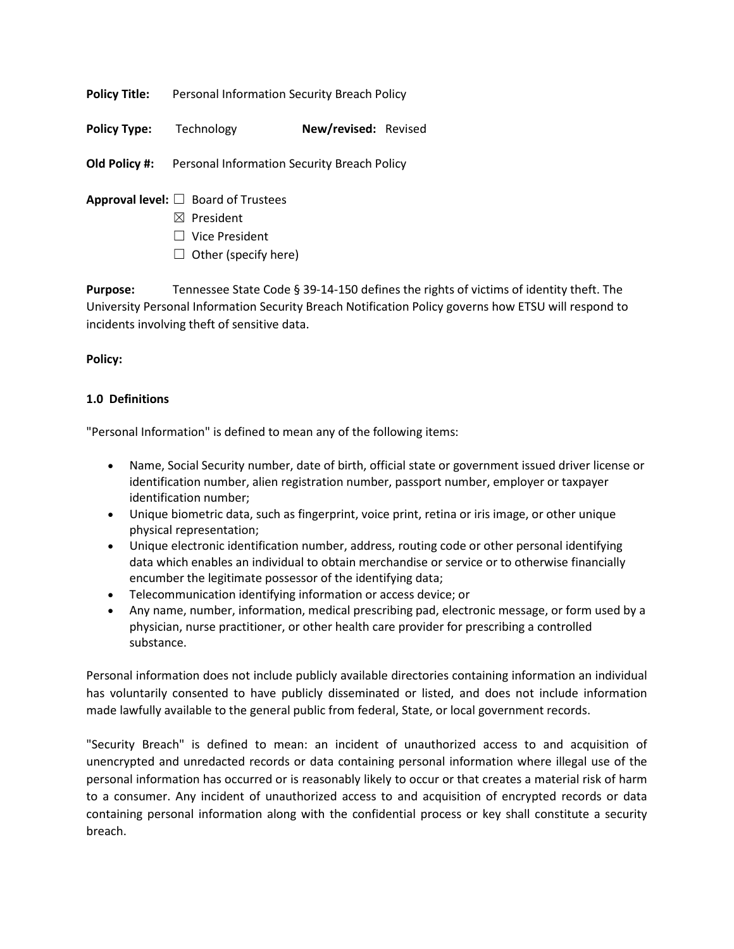**Policy Title:** Personal Information Security Breach Policy

**Policy Type:** Technology **New/revised:** Revised

**Old Policy #:** Personal Information Security Breach Policy

**Approval level:** ☐ Board of Trustees

- ☒ President
- ☐ Vice President
- $\Box$  Other (specify here)

**Purpose:** Tennessee State Code § 39-14-150 defines the rights of victims of identity theft. The University Personal Information Security Breach Notification Policy governs how ETSU will respond to incidents involving theft of sensitive data.

### **Policy:**

## **1.0 Definitions**

"Personal Information" is defined to mean any of the following items:

- Name, Social Security number, date of birth, official state or government issued driver license or identification number, alien registration number, passport number, employer or taxpayer identification number;
- Unique biometric data, such as fingerprint, voice print, retina or iris image, or other unique physical representation;
- Unique electronic identification number, address, routing code or other personal identifying data which enables an individual to obtain merchandise or service or to otherwise financially encumber the legitimate possessor of the identifying data;
- Telecommunication identifying information or access device; or
- Any name, number, information, medical prescribing pad, electronic message, or form used by a physician, nurse practitioner, or other health care provider for prescribing a controlled substance.

Personal information does not include publicly available directories containing information an individual has voluntarily consented to have publicly disseminated or listed, and does not include information made lawfully available to the general public from federal, State, or local government records.

"Security Breach" is defined to mean: an incident of unauthorized access to and acquisition of unencrypted and unredacted records or data containing personal information where illegal use of the personal information has occurred or is reasonably likely to occur or that creates a material risk of harm to a consumer. Any incident of unauthorized access to and acquisition of encrypted records or data containing personal information along with the confidential process or key shall constitute a security breach.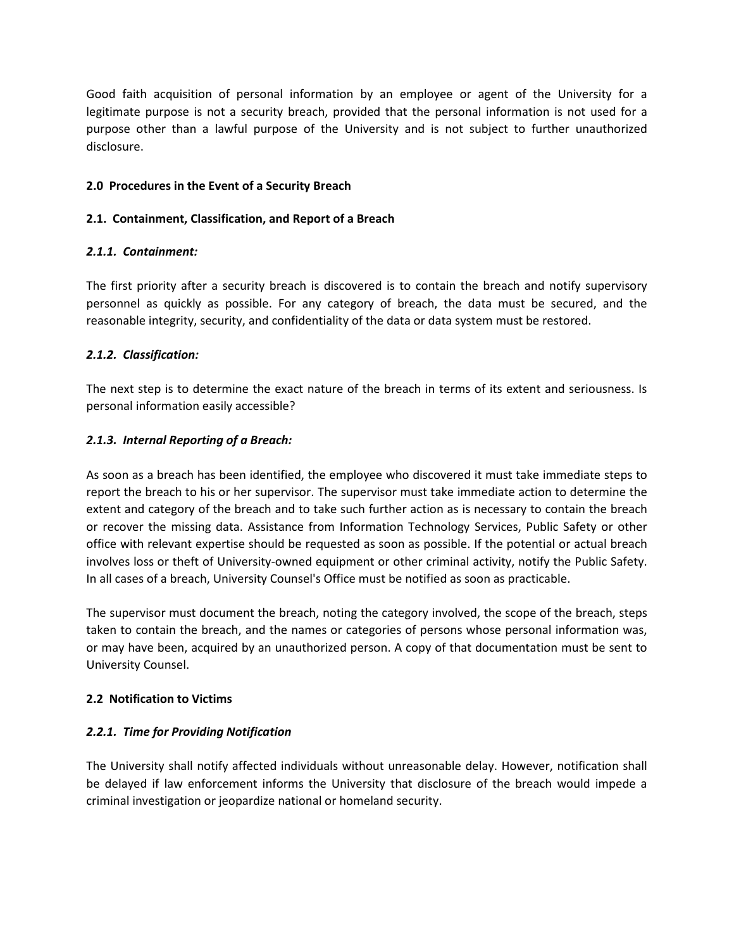Good faith acquisition of personal information by an employee or agent of the University for a legitimate purpose is not a security breach, provided that the personal information is not used for a purpose other than a lawful purpose of the University and is not subject to further unauthorized disclosure.

## **2.0 Procedures in the Event of a Security Breach**

## **2.1. Containment, Classification, and Report of a Breach**

## *2.1.1. Containment:*

The first priority after a security breach is discovered is to contain the breach and notify supervisory personnel as quickly as possible. For any category of breach, the data must be secured, and the reasonable integrity, security, and confidentiality of the data or data system must be restored.

## *2.1.2. Classification:*

The next step is to determine the exact nature of the breach in terms of its extent and seriousness. Is personal information easily accessible?

## *2.1.3. Internal Reporting of a Breach:*

As soon as a breach has been identified, the employee who discovered it must take immediate steps to report the breach to his or her supervisor. The supervisor must take immediate action to determine the extent and category of the breach and to take such further action as is necessary to contain the breach or recover the missing data. Assistance from Information Technology Services, Public Safety or other office with relevant expertise should be requested as soon as possible. If the potential or actual breach involves loss or theft of University-owned equipment or other criminal activity, notify the Public Safety. In all cases of a breach, University Counsel's Office must be notified as soon as practicable.

The supervisor must document the breach, noting the category involved, the scope of the breach, steps taken to contain the breach, and the names or categories of persons whose personal information was, or may have been, acquired by an unauthorized person. A copy of that documentation must be sent to University Counsel.

# **2.2 Notification to Victims**

# *2.2.1. Time for Providing Notification*

The University shall notify affected individuals without unreasonable delay. However, notification shall be delayed if law enforcement informs the University that disclosure of the breach would impede a criminal investigation or jeopardize national or homeland security.